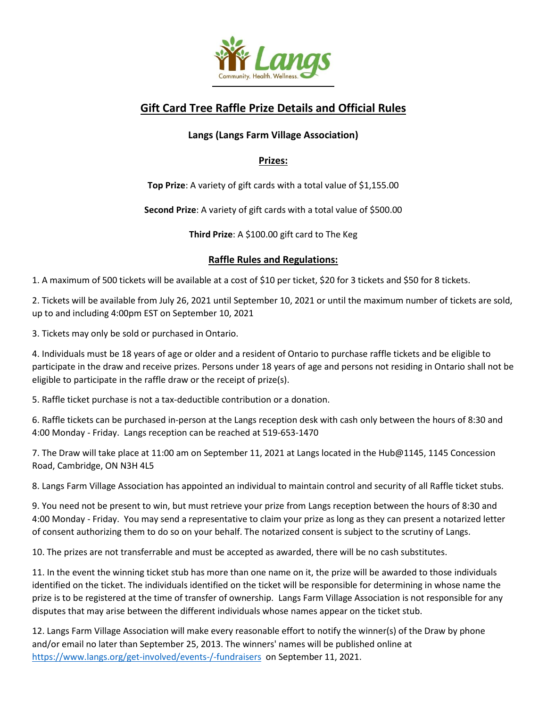

## **Gift Card Tree Raffle Prize Details and Official Rules**

## **Langs (Langs Farm Village Association)**

## **Prizes:**

**Top Prize**: A variety of gift cards with a total value of \$1,155.00

**Second Prize**: A variety of gift cards with a total value of \$500.00

**Third Prize**: A \$100.00 gift card to The Keg

## **Raffle Rules and Regulations:**

1. A maximum of 500 tickets will be available at a cost of \$10 per ticket, \$20 for 3 tickets and \$50 for 8 tickets.

2. Tickets will be available from July 26, 2021 until September 10, 2021 or until the maximum number of tickets are sold, up to and including 4:00pm EST on September 10, 2021

3. Tickets may only be sold or purchased in Ontario.

4. Individuals must be 18 years of age or older and a resident of Ontario to purchase raffle tickets and be eligible to participate in the draw and receive prizes. Persons under 18 years of age and persons not residing in Ontario shall not be eligible to participate in the raffle draw or the receipt of prize(s).

5. Raffle ticket purchase is not a tax-deductible contribution or a donation.

6. Raffle tickets can be purchased in-person at the Langs reception desk with cash only between the hours of 8:30 and 4:00 Monday - Friday. Langs reception can be reached at 519-653-1470

7. The Draw will take place at 11:00 am on September 11, 2021 at Langs located in the Hub@1145, 1145 Concession Road, Cambridge, ON N3H 4L5

8. Langs Farm Village Association has appointed an individual to maintain control and security of all Raffle ticket stubs.

9. You need not be present to win, but must retrieve your prize from Langs reception between the hours of 8:30 and 4:00 Monday - Friday. You may send a representative to claim your prize as long as they can present a notarized letter of consent authorizing them to do so on your behalf. The notarized consent is subject to the scrutiny of Langs.

10. The prizes are not transferrable and must be accepted as awarded, there will be no cash substitutes.

11. In the event the winning ticket stub has more than one name on it, the prize will be awarded to those individuals identified on the ticket. The individuals identified on the ticket will be responsible for determining in whose name the prize is to be registered at the time of transfer of ownership. Langs Farm Village Association is not responsible for any disputes that may arise between the different individuals whose names appear on the ticket stub.

12. Langs Farm Village Association will make every reasonable effort to notify the winner(s) of the Draw by phone and/or email no later than September 25, 2013. The winners' names will be published online at <https://www.langs.org/get-involved/events-/-fundraisers>on September 11, 2021.